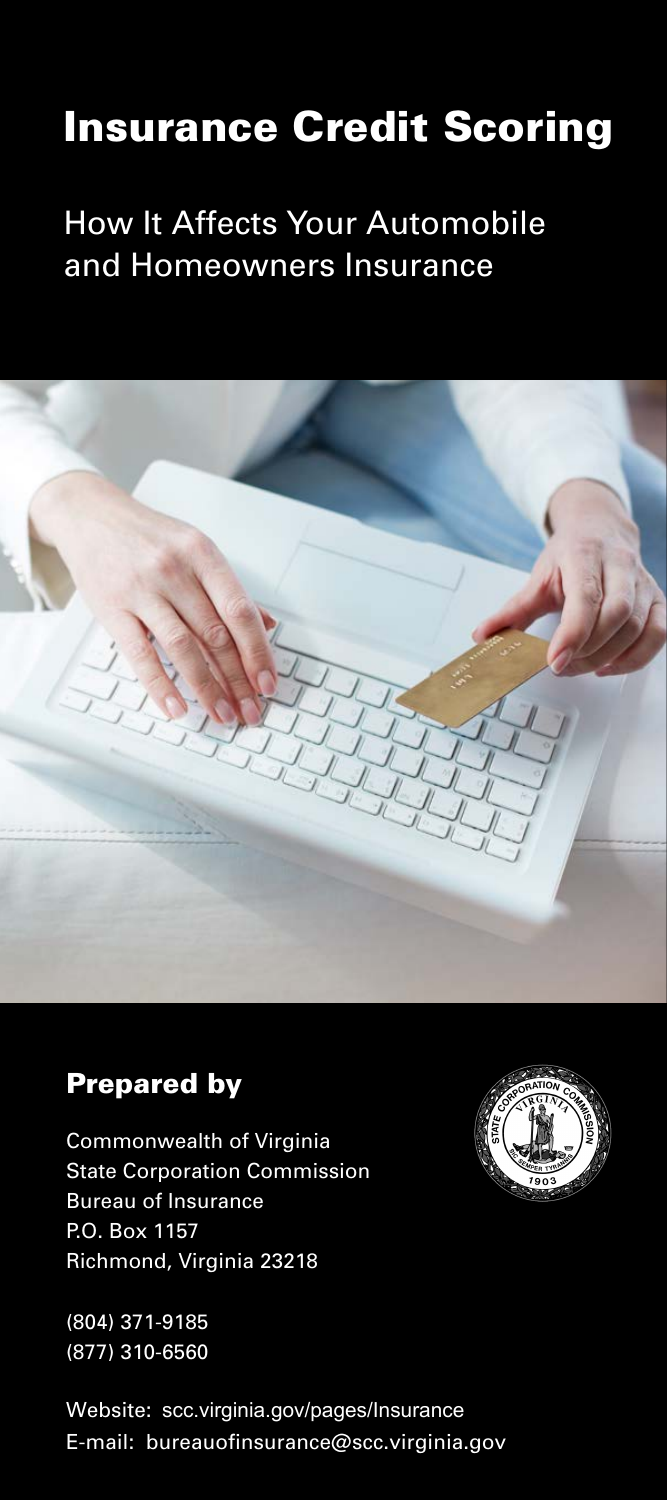# Insurance Credit Scoring

## How It Affects Your Automobile and Homeowners Insurance



### Prepared by

Commonwealth of Virginia State Corporation Commission **Bureau of Insurance** P.O. Box 1157 Richmond, Virginia 23218

(804) 371-9185 (877) 310-6560

Website: [scc.virginia.gov/pages/Insurance](www.scc.virginia.gov/pages/Insurance) E-mail: bureauofinsurance@scc.virginia.gov

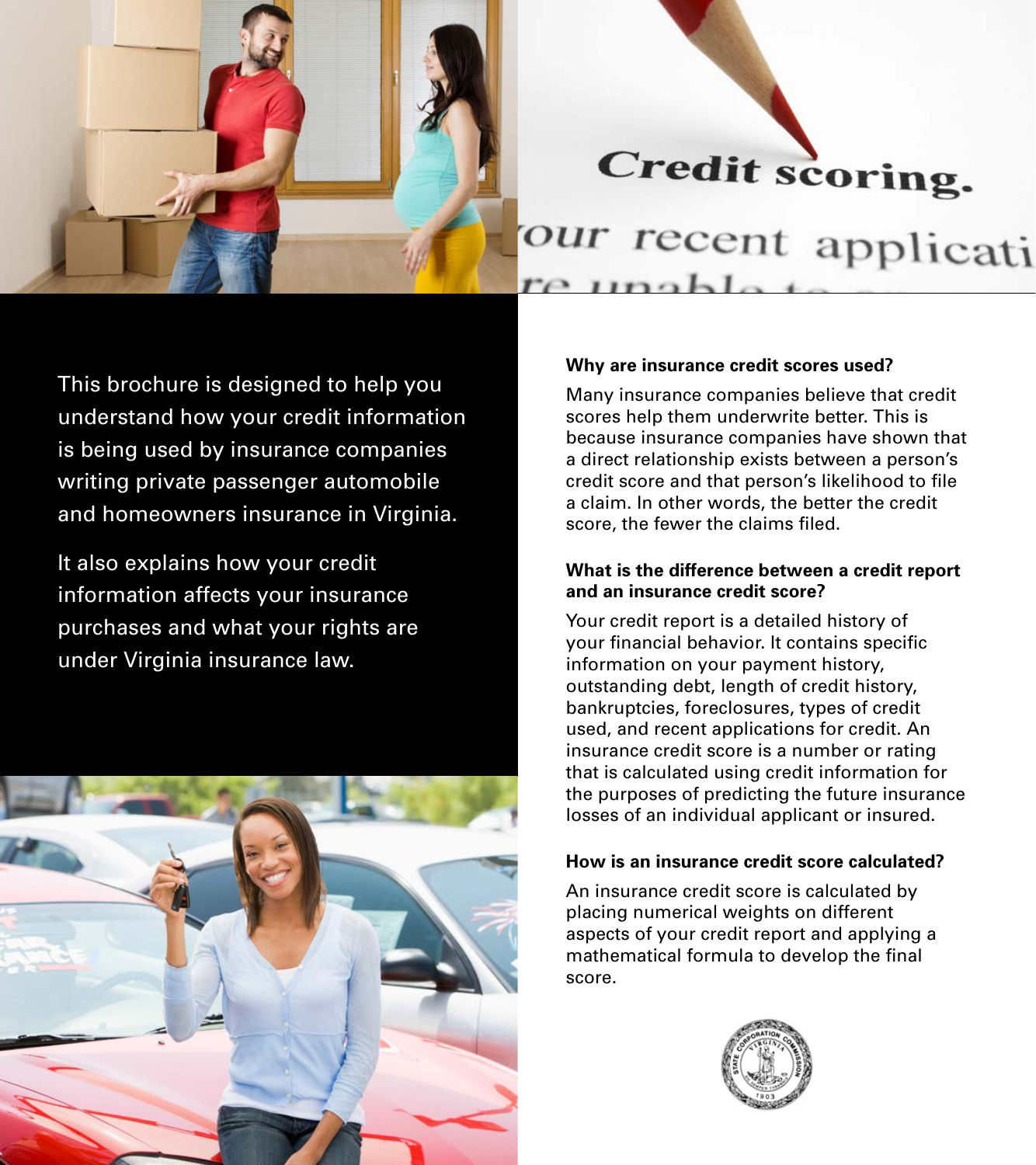

This brochure is designed to help you understand how your credit information is being used by insurance companies writing private passenger automobile and homeowners insurance in Virginia.

It also explains how your credit information affects your insurance purchases and what your rights are under Virginia insurance law.



#### **Why are insurance credit scores used?**

Many insurance companies believe that credit scores help them underwrite better. This is because insurance companies have shown that a direct relationship exists between a person's credit score and that person's likelihood to file a claim. In other words, the better the credit score, the fewer the claims filed.

#### **What is the difference between a credit report and an insurance credit score?**

Your credit report is a detailed history of your financial behavior. It contains specific information on your payment history, outstanding debt, length of credit history, bankruptcies, foreclosures, types of credit used, and recent applications for credit. An insurance credit score is a number or rating that is calculated using credit information for the purposes of predicting the future insurance losses of an individual applicant or insured.

#### **How is an insurance credit score calculated?**

An insurance credit score is calculated by placing numerical weights on different aspects of your credit report and applying a mathematical formula to develop the final score.

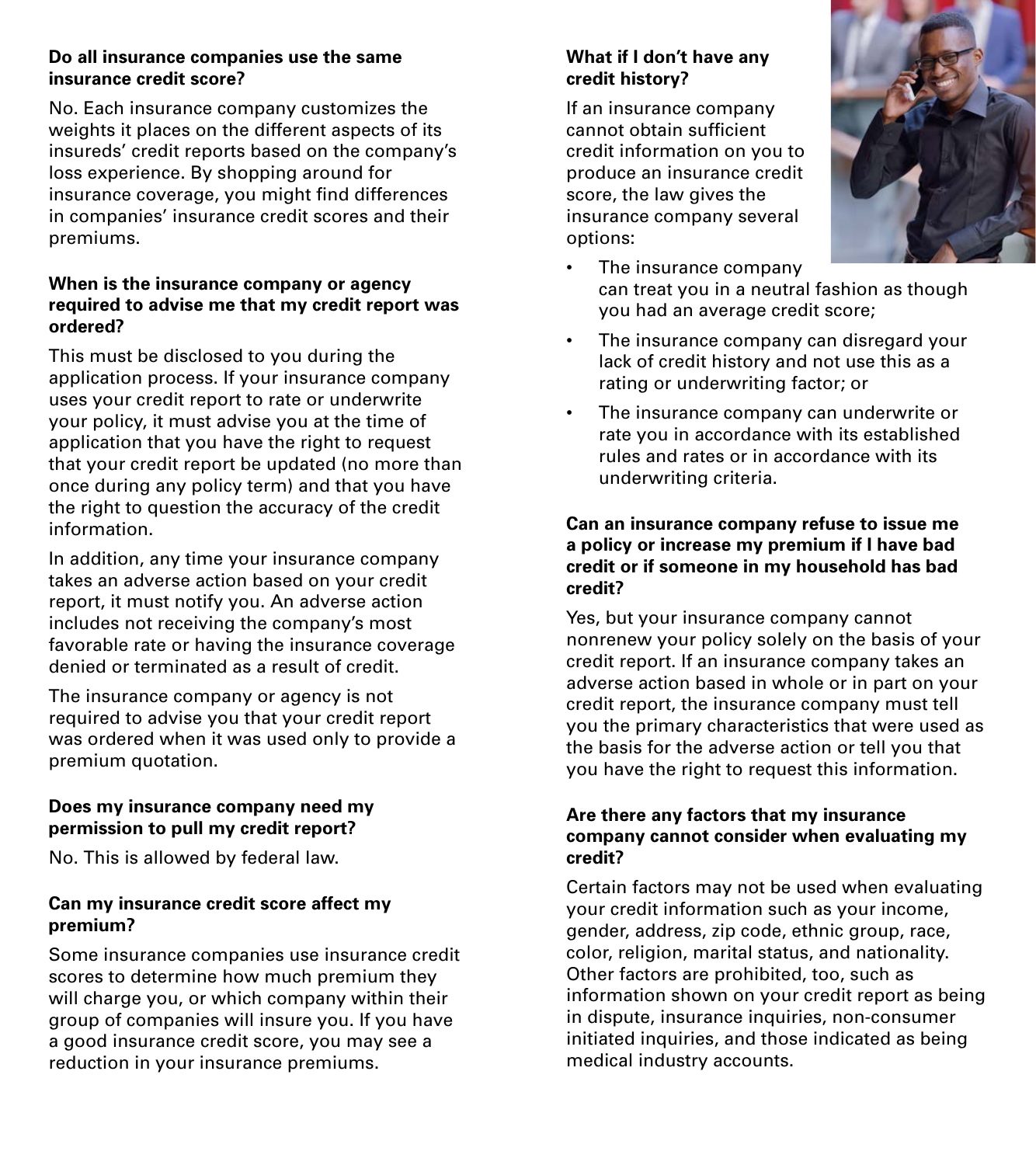#### **Do all insurance companies use the same insurance credit score?**

No. Each insurance company customizes the weights it places on the different aspects of its insureds' credit reports based on the company's loss experience. By shopping around for insurance coverage, you might find differences in companies' insurance credit scores and their premiums.

#### **When is the insurance company or agency required to advise me that my credit report was ordered?**

This must be disclosed to you during the application process. If your insurance company uses your credit report to rate or underwrite your policy, it must advise you at the time of application that you have the right to request that your credit report be updated (no more than once during any policy term) and that you have the right to question the accuracy of the credit information.

In addition, any time your insurance company takes an adverse action based on your credit report, it must notify you. An adverse action includes not receiving the company's most favorable rate or having the insurance coverage denied or terminated as a result of credit.

The insurance company or agency is not required to advise you that your credit report was ordered when it was used only to provide a premium quotation.

#### **Does my insurance company need my permission to pull my credit report?**

No. This is allowed by federal law.

#### **Can my insurance credit score affect my premium?**

Some insurance companies use insurance credit scores to determine how much premium they will charge you, or which company within their group of companies will insure you. If you have a good insurance credit score, you may see a reduction in your insurance premiums.

#### **What if I don't have any credit history?**

If an insurance company cannot obtain sufficient credit information on you to produce an insurance credit score, the law gives the insurance company several options:



- The insurance company can treat you in a neutral fashion as though you had an average credit score;
- The insurance company can disregard your lack of credit history and not use this as a rating or underwriting factor; or
- The insurance company can underwrite or rate you in accordance with its established rules and rates or in accordance with its underwriting criteria.

#### **Can an insurance company refuse to issue me a policy or increase my premium if I have bad credit or if someone in my household has bad credit?**

Yes, but your insurance company cannot nonrenew your policy solely on the basis of your credit report. If an insurance company takes an adverse action based in whole or in part on your credit report, the insurance company must tell you the primary characteristics that were used as the basis for the adverse action or tell you that you have the right to request this information.

#### **Are there any factors that my insurance company cannot consider when evaluating my credit?**

Certain factors may not be used when evaluating your credit information such as your income, gender, address, zip code, ethnic group, race, color, religion, marital status, and nationality. Other factors are prohibited, too, such as information shown on your credit report as being in dispute, insurance inquiries, non-consumer initiated inquiries, and those indicated as being medical industry accounts.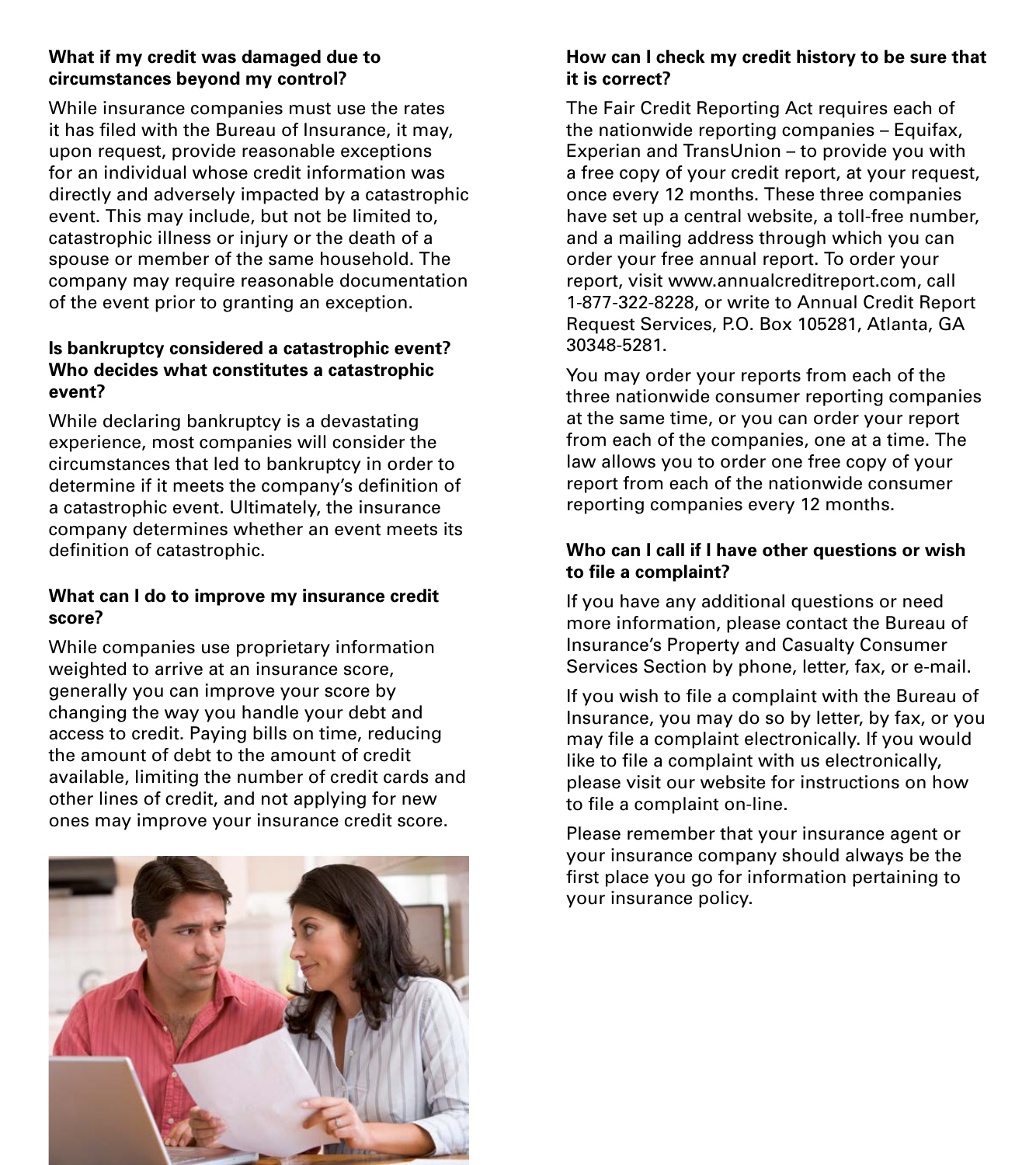#### **What if my credit was damaged due to circumstances beyond my control?**

While insurance companies must use the rates it has filed with the Bureau of Insurance, it may, upon request, provide reasonable exceptions for an individual whose credit information was directly and adversely impacted by a catastrophic event. This may include, but not be limited to, catastrophic illness or injury or the death of a spouse or member of the same household. The company may require reasonable documentation of the event prior to granting an exception.

#### **Is bankruptcy considered a catastrophic event? Who decides what constitutes a catastrophic event?**

While declaring bankruptcy is a devastating experience, most companies will consider the circumstances that led to bankruptcy in order to determine if it meets the company's definition of a catastrophic event. Ultimately, the insurance company determines whether an event meets its definition of catastrophic.

#### **What can I do to improve my insurance credit score?**

While companies use proprietary information weighted to arrive at an insurance score, generally you can improve your score by changing the way you handle your debt and access to credit. Paying bills on time, reducing the amount of debt to the amount of credit available, limiting the number of credit cards and other lines of credit, and not applying for new ones may improve your insurance credit score.



#### **How can I check my credit history to be sure that it is correct?**

The Fair Credit Reporting Act requires each of the nationwide reporting companies – Equifax, Experian and TransUnion – to provide you with a free copy of your credit report, at your request, once every 12 months. These three companies have set up a central website, a toll-free number, and a mailing address through which you can order your free annual report. To order your report, visit www.annualcreditreport.com, call 1-877-322-8228, or write to Annual Credit Report Request Services, P.O. Box 105281, Atlanta, GA 30348-5281.

You may order your reports from each of the three nationwide consumer reporting companies at the same time, or you can order your report from each of the companies, one at a time. The law allows you to order one free copy of your report from each of the nationwide consumer reporting companies every 12 months.

#### **Who can I call if I have other questions or wish to file a complaint?**

If you have any additional questions or need more information, please contact the Bureau of Insurance's Property and Casualty Consumer Services Section by phone, letter, fax, or e-mail.

If you wish to file a complaint with the Bureau of Insurance, you may do so by letter, by fax, or you may file a complaint electronically. If you would like to file a complaint with us electronically, please visit our website for instructions on how to file a complaint on-line.

Please remember that your insurance agent or your insurance company should always be the first place you go for information pertaining to your insurance policy.